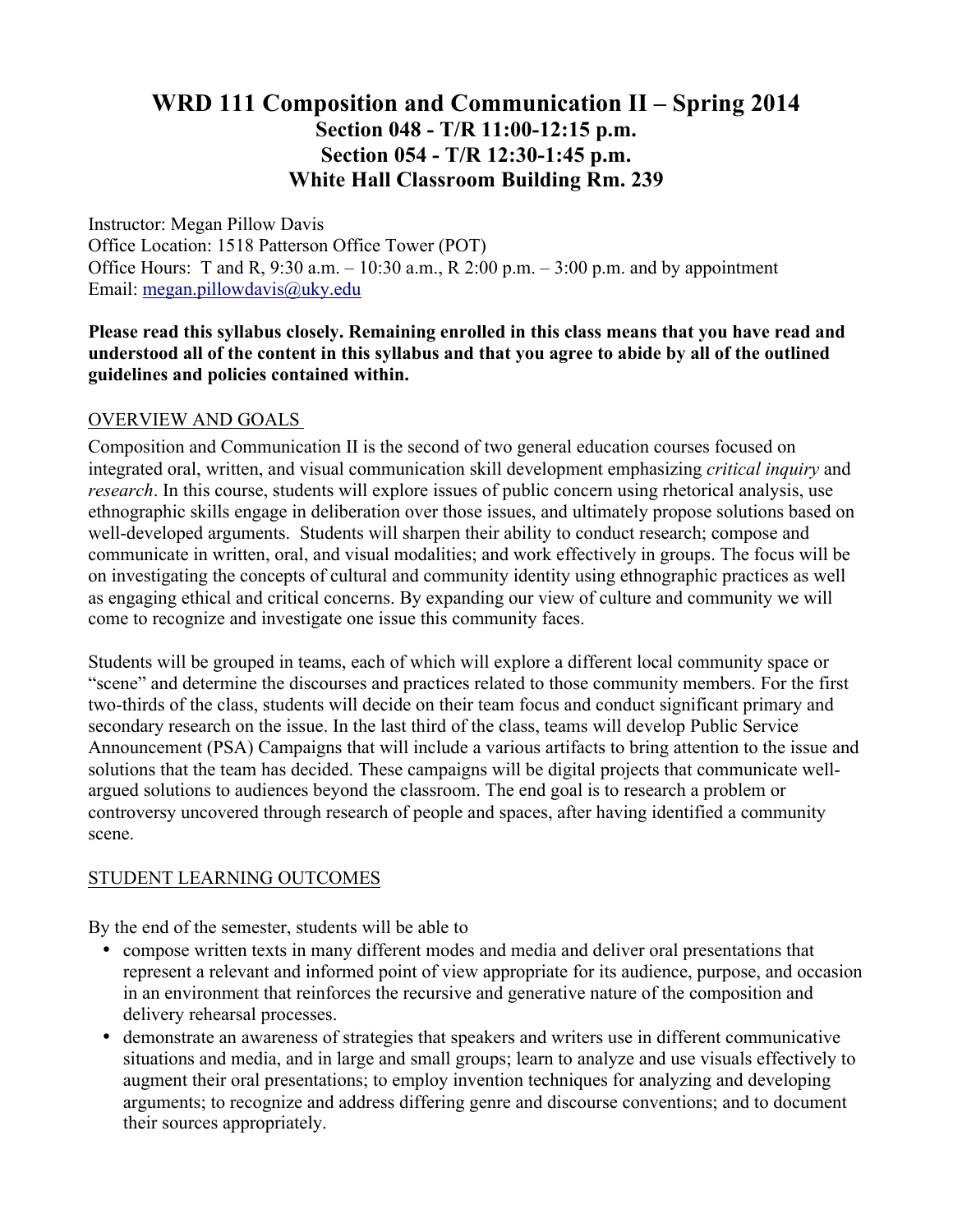# **WRD 111 Composition and Communication II – Spring 2014 Section 048 - T/R 11:00-12:15 p.m. Section 054 - T/R 12:30-1:45 p.m. White Hall Classroom Building Rm. 239**

Instructor: Megan Pillow Davis Office Location: 1518 Patterson Office Tower (POT) Office Hours: T and R,  $9:30$  a.m.  $-10:30$  a.m., R 2:00 p.m.  $-3:00$  p.m. and by appointment Email: megan.pillowdavis@uky.edu

### **Please read this syllabus closely. Remaining enrolled in this class means that you have read and understood all of the content in this syllabus and that you agree to abide by all of the outlined guidelines and policies contained within.**

### OVERVIEW AND GOALS

Composition and Communication II is the second of two general education courses focused on integrated oral, written, and visual communication skill development emphasizing *critical inquiry* and *research*. In this course, students will explore issues of public concern using rhetorical analysis, use ethnographic skills engage in deliberation over those issues, and ultimately propose solutions based on well-developed arguments. Students will sharpen their ability to conduct research; compose and communicate in written, oral, and visual modalities; and work effectively in groups. The focus will be on investigating the concepts of cultural and community identity using ethnographic practices as well as engaging ethical and critical concerns. By expanding our view of culture and community we will come to recognize and investigate one issue this community faces.

Students will be grouped in teams, each of which will explore a different local community space or "scene" and determine the discourses and practices related to those community members. For the first two-thirds of the class, students will decide on their team focus and conduct significant primary and secondary research on the issue. In the last third of the class, teams will develop Public Service Announcement (PSA) Campaigns that will include a various artifacts to bring attention to the issue and solutions that the team has decided. These campaigns will be digital projects that communicate wellargued solutions to audiences beyond the classroom. The end goal is to research a problem or controversy uncovered through research of people and spaces, after having identified a community scene.

### STUDENT LEARNING OUTCOMES

By the end of the semester, students will be able to

- compose written texts in many different modes and media and deliver oral presentations that represent a relevant and informed point of view appropriate for its audience, purpose, and occasion in an environment that reinforces the recursive and generative nature of the composition and delivery rehearsal processes.
- demonstrate an awareness of strategies that speakers and writers use in different communicative situations and media, and in large and small groups; learn to analyze and use visuals effectively to augment their oral presentations; to employ invention techniques for analyzing and developing arguments; to recognize and address differing genre and discourse conventions; and to document their sources appropriately.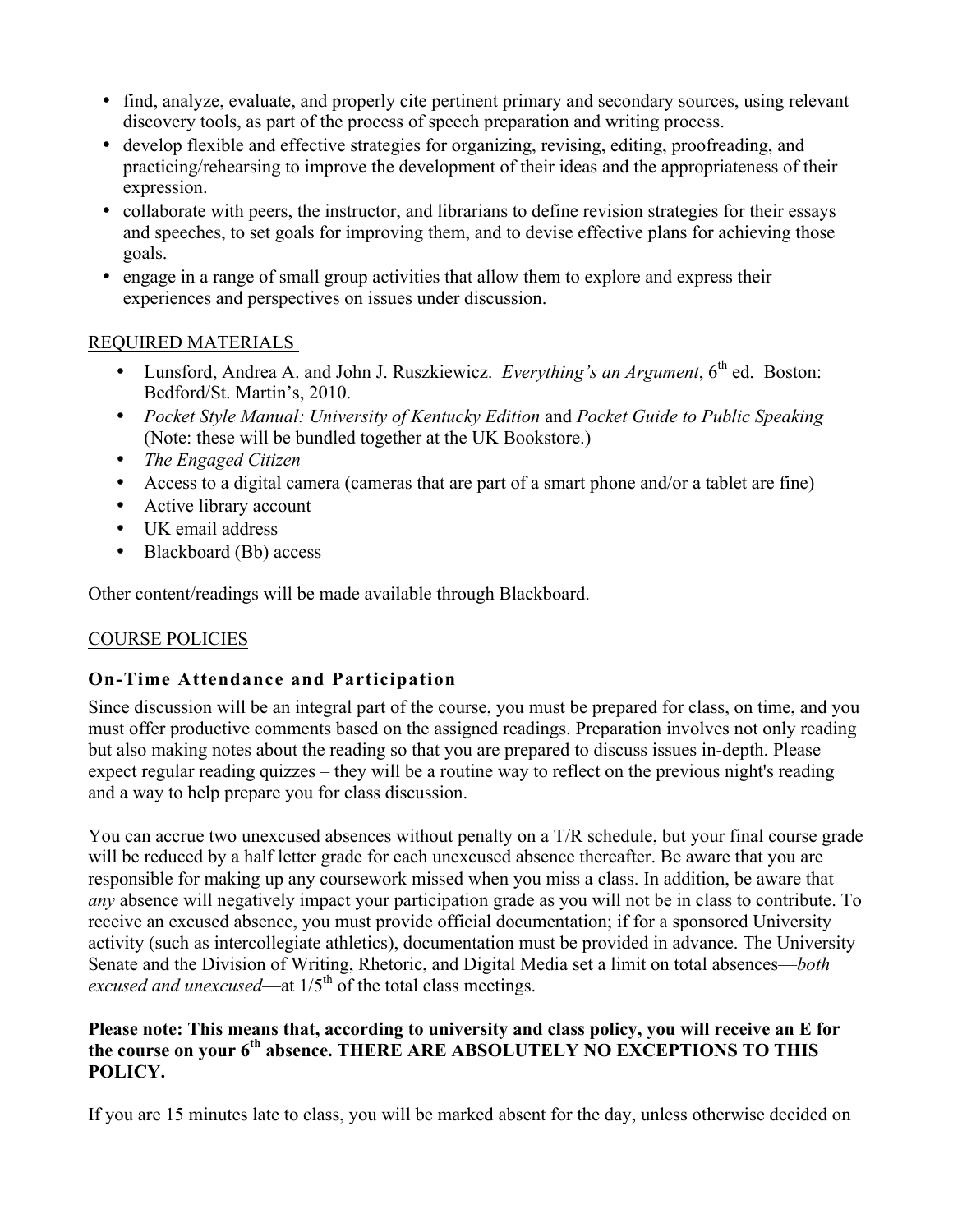- find, analyze, evaluate, and properly cite pertinent primary and secondary sources, using relevant discovery tools, as part of the process of speech preparation and writing process.
- develop flexible and effective strategies for organizing, revising, editing, proofreading, and practicing/rehearsing to improve the development of their ideas and the appropriateness of their expression.
- collaborate with peers, the instructor, and librarians to define revision strategies for their essays and speeches, to set goals for improving them, and to devise effective plans for achieving those goals.
- engage in a range of small group activities that allow them to explore and express their experiences and perspectives on issues under discussion.

## REQUIRED MATERIALS

- Lunsford, Andrea A. and John J. Ruszkiewicz. *Everything's an Argument*, 6<sup>th</sup> ed. Boston: Bedford/St. Martin's, 2010.
- *Pocket Style Manual: University of Kentucky Edition* and *Pocket Guide to Public Speaking*  (Note: these will be bundled together at the UK Bookstore.)
- *The Engaged Citizen*
- Access to a digital camera (cameras that are part of a smart phone and/or a tablet are fine)
- Active library account
- UK email address
- Blackboard (Bb) access

Other content/readings will be made available through Blackboard.

# COURSE POLICIES

# **On-Time Attendance and Participation**

Since discussion will be an integral part of the course, you must be prepared for class, on time, and you must offer productive comments based on the assigned readings. Preparation involves not only reading but also making notes about the reading so that you are prepared to discuss issues in-depth. Please expect regular reading quizzes – they will be a routine way to reflect on the previous night's reading and a way to help prepare you for class discussion.

You can accrue two unexcused absences without penalty on a T/R schedule, but your final course grade will be reduced by a half letter grade for each unexcused absence thereafter. Be aware that you are responsible for making up any coursework missed when you miss a class. In addition, be aware that *any* absence will negatively impact your participation grade as you will not be in class to contribute. To receive an excused absence, you must provide official documentation; if for a sponsored University activity (such as intercollegiate athletics), documentation must be provided in advance. The University Senate and the Division of Writing, Rhetoric, and Digital Media set a limit on total absences—*both*  excused and unexcused—at  $1/5<sup>th</sup>$  of the total class meetings.

### **Please note: This means that, according to university and class policy, you will receive an E for the course on your 6th absence. THERE ARE ABSOLUTELY NO EXCEPTIONS TO THIS POLICY.**

If you are 15 minutes late to class, you will be marked absent for the day, unless otherwise decided on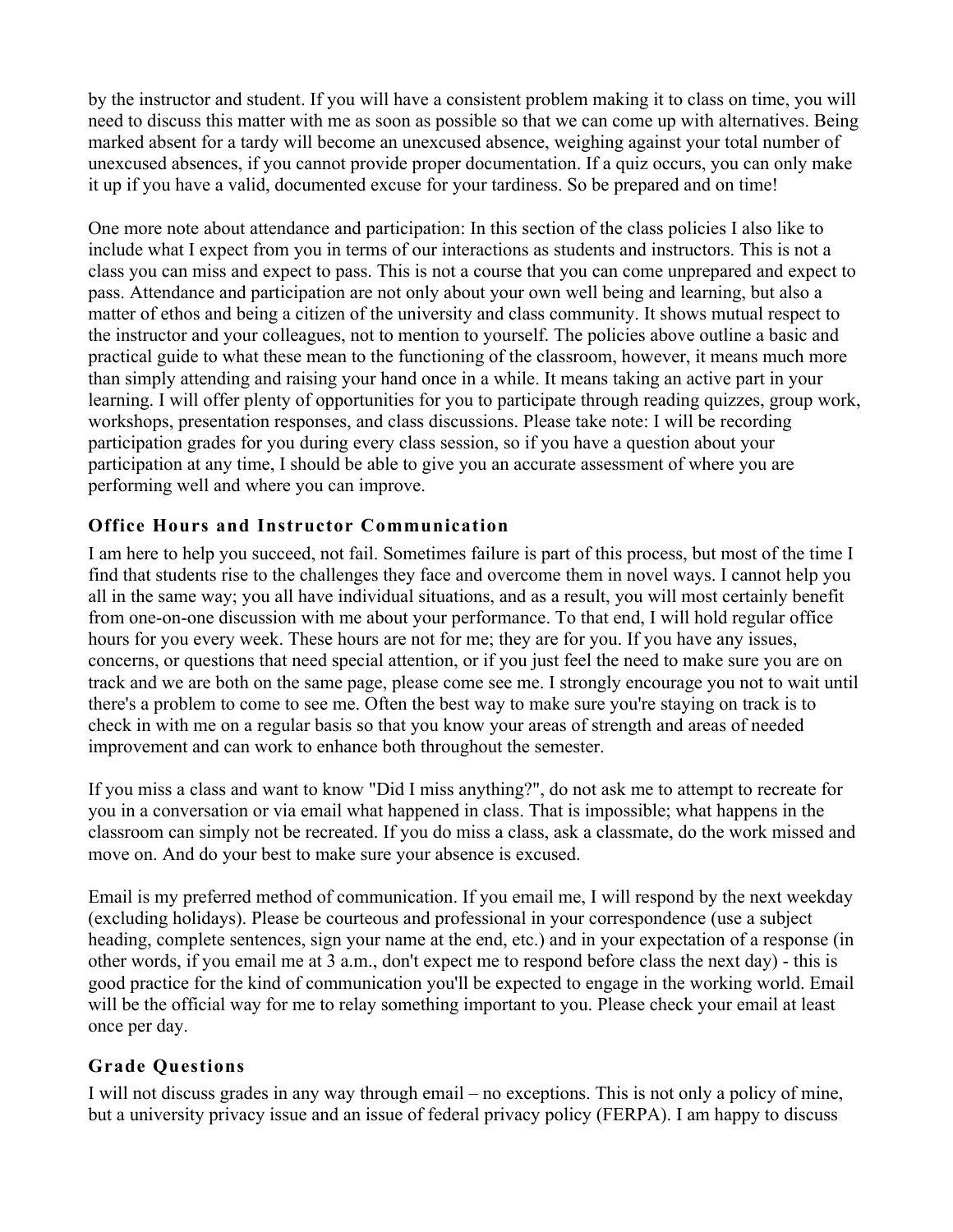by the instructor and student. If you will have a consistent problem making it to class on time, you will need to discuss this matter with me as soon as possible so that we can come up with alternatives. Being marked absent for a tardy will become an unexcused absence, weighing against your total number of unexcused absences, if you cannot provide proper documentation. If a quiz occurs, you can only make it up if you have a valid, documented excuse for your tardiness. So be prepared and on time!

One more note about attendance and participation: In this section of the class policies I also like to include what I expect from you in terms of our interactions as students and instructors. This is not a class you can miss and expect to pass. This is not a course that you can come unprepared and expect to pass. Attendance and participation are not only about your own well being and learning, but also a matter of ethos and being a citizen of the university and class community. It shows mutual respect to the instructor and your colleagues, not to mention to yourself. The policies above outline a basic and practical guide to what these mean to the functioning of the classroom, however, it means much more than simply attending and raising your hand once in a while. It means taking an active part in your learning. I will offer plenty of opportunities for you to participate through reading quizzes, group work, workshops, presentation responses, and class discussions. Please take note: I will be recording participation grades for you during every class session, so if you have a question about your participation at any time, I should be able to give you an accurate assessment of where you are performing well and where you can improve.

# **Office Hours and Instructor Communication**

I am here to help you succeed, not fail. Sometimes failure is part of this process, but most of the time I find that students rise to the challenges they face and overcome them in novel ways. I cannot help you all in the same way; you all have individual situations, and as a result, you will most certainly benefit from one-on-one discussion with me about your performance. To that end, I will hold regular office hours for you every week. These hours are not for me; they are for you. If you have any issues, concerns, or questions that need special attention, or if you just feel the need to make sure you are on track and we are both on the same page, please come see me. I strongly encourage you not to wait until there's a problem to come to see me. Often the best way to make sure you're staying on track is to check in with me on a regular basis so that you know your areas of strength and areas of needed improvement and can work to enhance both throughout the semester.

If you miss a class and want to know "Did I miss anything?", do not ask me to attempt to recreate for you in a conversation or via email what happened in class. That is impossible; what happens in the classroom can simply not be recreated. If you do miss a class, ask a classmate, do the work missed and move on. And do your best to make sure your absence is excused.

Email is my preferred method of communication. If you email me, I will respond by the next weekday (excluding holidays). Please be courteous and professional in your correspondence (use a subject heading, complete sentences, sign your name at the end, etc.) and in your expectation of a response (in other words, if you email me at 3 a.m., don't expect me to respond before class the next day) - this is good practice for the kind of communication you'll be expected to engage in the working world. Email will be the official way for me to relay something important to you. Please check your email at least once per day.

# **Grade Questions**

I will not discuss grades in any way through email – no exceptions. This is not only a policy of mine, but a university privacy issue and an issue of federal privacy policy (FERPA). I am happy to discuss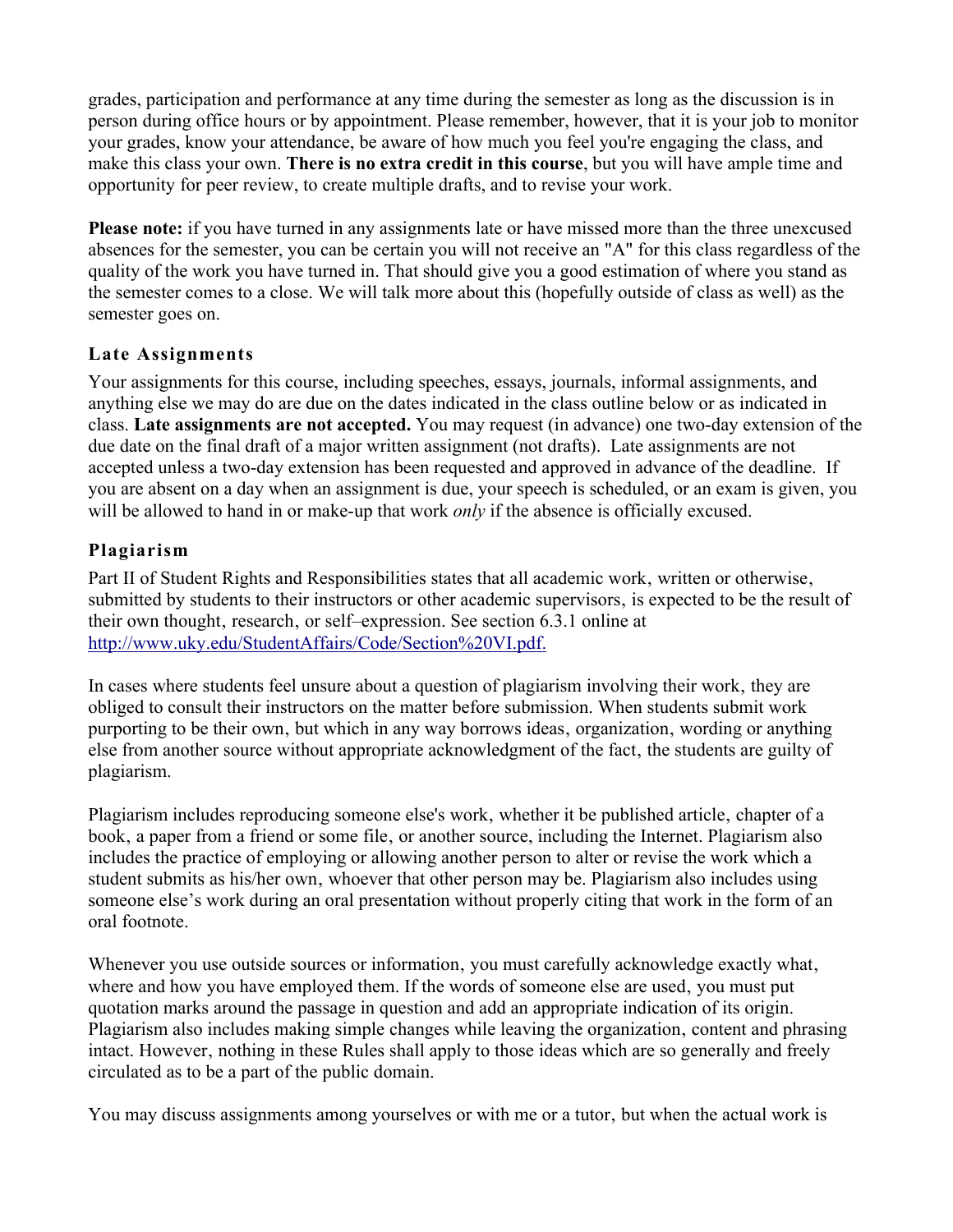grades, participation and performance at any time during the semester as long as the discussion is in person during office hours or by appointment. Please remember, however, that it is your job to monitor your grades, know your attendance, be aware of how much you feel you're engaging the class, and make this class your own. **There is no extra credit in this course**, but you will have ample time and opportunity for peer review, to create multiple drafts, and to revise your work.

**Please note:** if you have turned in any assignments late or have missed more than the three unexcused absences for the semester, you can be certain you will not receive an "A" for this class regardless of the quality of the work you have turned in. That should give you a good estimation of where you stand as the semester comes to a close. We will talk more about this (hopefully outside of class as well) as the semester goes on.

## **Late Assignments**

Your assignments for this course, including speeches, essays, journals, informal assignments, and anything else we may do are due on the dates indicated in the class outline below or as indicated in class. **Late assignments are not accepted.** You may request (in advance) one two-day extension of the due date on the final draft of a major written assignment (not drafts). Late assignments are not accepted unless a two-day extension has been requested and approved in advance of the deadline. If you are absent on a day when an assignment is due, your speech is scheduled, or an exam is given, you will be allowed to hand in or make-up that work *only* if the absence is officially excused.

# **Plagiarism**

Part II of Student Rights and Responsibilities states that all academic work, written or otherwise, submitted by students to their instructors or other academic supervisors, is expected to be the result of their own thought, research, or self–expression. See section 6.3.1 online at http://www.uky.edu/StudentAffairs/Code/Section%20VI.pdf.

In cases where students feel unsure about a question of plagiarism involving their work' they are obliged to consult their instructors on the matter before submission. When students submit work purporting to be their own, but which in any way borrows ideas, organization, wording or anything else from another source without appropriate acknowledgment of the fact, the students are guilty of plagiarism.

Plagiarism includes reproducing someone else's work, whether it be published article, chapter of a book, a paper from a friend or some file, or another source, including the Internet. Plagiarism also includes the practice of employing or allowing another person to alter or revise the work which a student submits as his/her own, whoever that other person may be. Plagiarism also includes using someone else's work during an oral presentation without properly citing that work in the form of an oral footnote.

Whenever you use outside sources or information, you must carefully acknowledge exactly what, where and how you have employed them. If the words of someone else are used, you must put quotation marks around the passage in question and add an appropriate indication of its origin. Plagiarism also includes making simple changes while leaving the organization, content and phrasing intact. However, nothing in these Rules shall apply to those ideas which are so generally and freely circulated as to be a part of the public domain.

You may discuss assignments among yourselves or with me or a tutor, but when the actual work is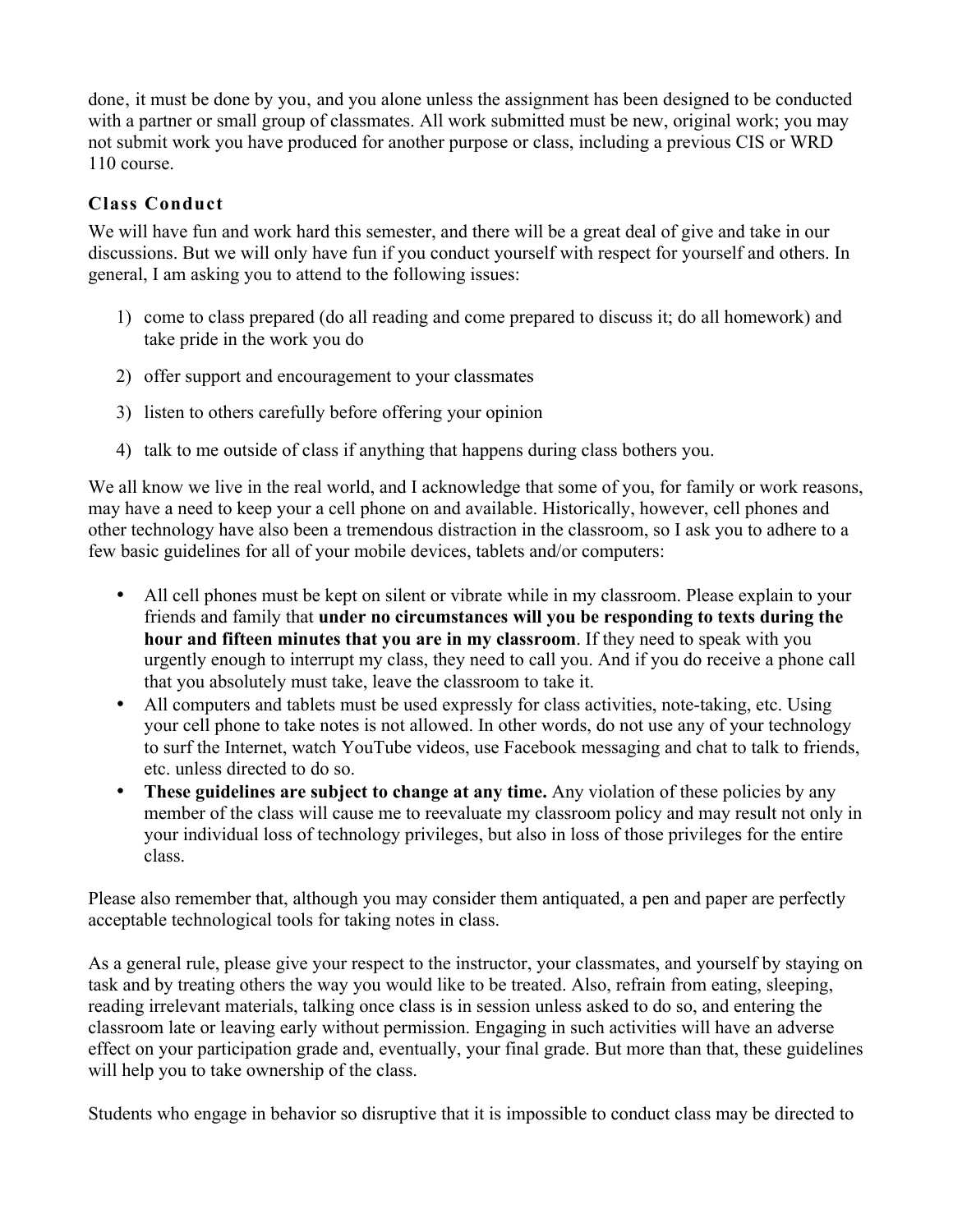done, it must be done by you, and you alone unless the assignment has been designed to be conducted with a partner or small group of classmates. All work submitted must be new, original work; you may not submit work you have produced for another purpose or class, including a previous CIS or WRD 110 course.

## **Class Conduct**

We will have fun and work hard this semester, and there will be a great deal of give and take in our discussions. But we will only have fun if you conduct yourself with respect for yourself and others. In general, I am asking you to attend to the following issues:

- 1) come to class prepared (do all reading and come prepared to discuss it; do all homework) and take pride in the work you do
- 2) offer support and encouragement to your classmates
- 3) listen to others carefully before offering your opinion
- 4) talk to me outside of class if anything that happens during class bothers you.

We all know we live in the real world, and I acknowledge that some of you, for family or work reasons, may have a need to keep your a cell phone on and available. Historically, however, cell phones and other technology have also been a tremendous distraction in the classroom, so I ask you to adhere to a few basic guidelines for all of your mobile devices, tablets and/or computers:

- All cell phones must be kept on silent or vibrate while in my classroom. Please explain to your friends and family that **under no circumstances will you be responding to texts during the hour and fifteen minutes that you are in my classroom**. If they need to speak with you urgently enough to interrupt my class, they need to call you. And if you do receive a phone call that you absolutely must take, leave the classroom to take it.
- All computers and tablets must be used expressly for class activities, note-taking, etc. Using your cell phone to take notes is not allowed. In other words, do not use any of your technology to surf the Internet, watch YouTube videos, use Facebook messaging and chat to talk to friends, etc. unless directed to do so.
- These guidelines are subject to change at any time. Any violation of these policies by any member of the class will cause me to reevaluate my classroom policy and may result not only in your individual loss of technology privileges, but also in loss of those privileges for the entire class.

Please also remember that, although you may consider them antiquated, a pen and paper are perfectly acceptable technological tools for taking notes in class.

As a general rule, please give your respect to the instructor, your classmates, and yourself by staying on task and by treating others the way you would like to be treated. Also, refrain from eating, sleeping, reading irrelevant materials, talking once class is in session unless asked to do so, and entering the classroom late or leaving early without permission. Engaging in such activities will have an adverse effect on your participation grade and, eventually, your final grade. But more than that, these guidelines will help you to take ownership of the class.

Students who engage in behavior so disruptive that it is impossible to conduct class may be directed to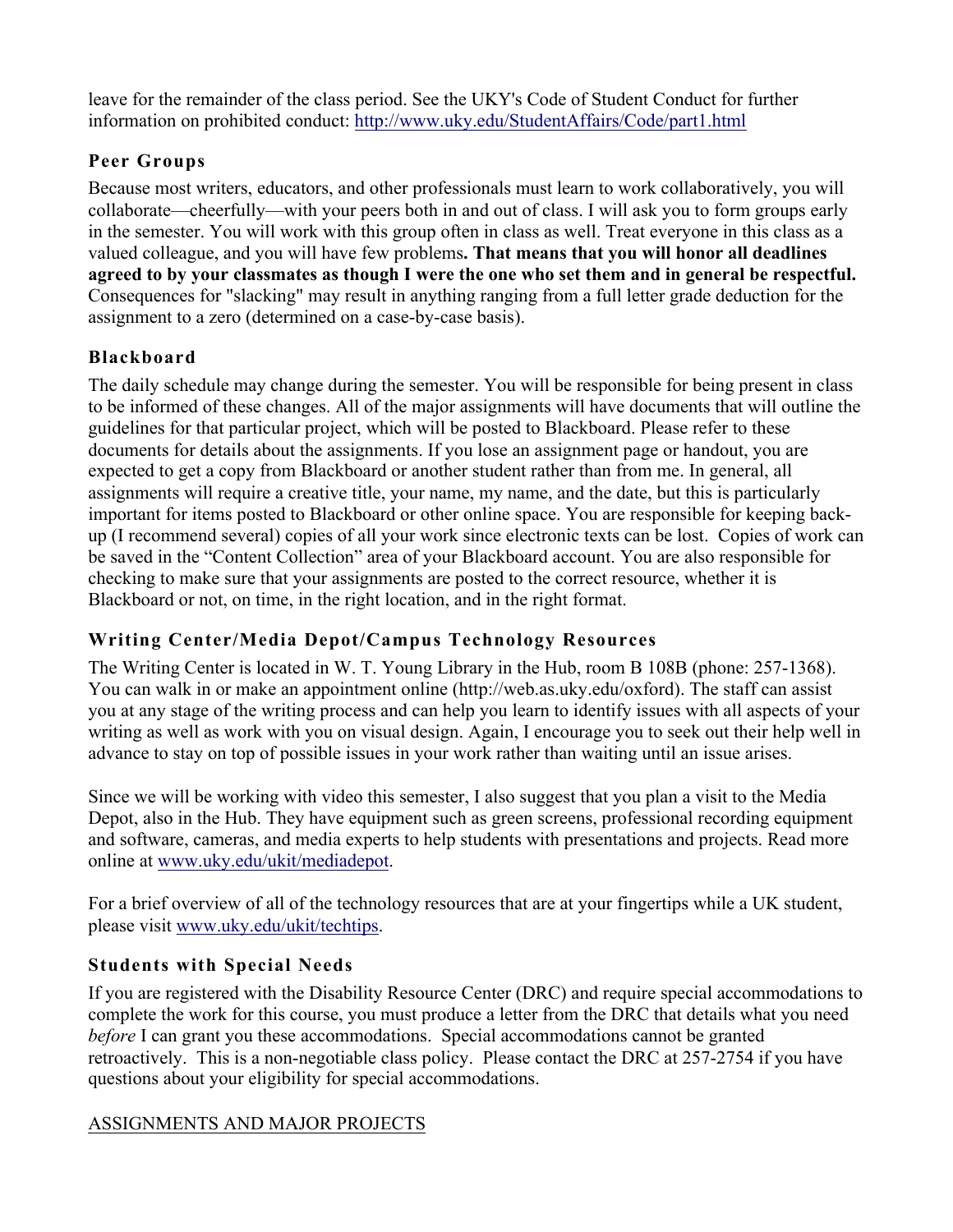leave for the remainder of the class period. See the UKY's Code of Student Conduct for further information on prohibited conduct: http://www.uky.edu/StudentAffairs/Code/part1.html

# **Peer Groups**

Because most writers, educators, and other professionals must learn to work collaboratively, you will collaborate—cheerfully—with your peers both in and out of class. I will ask you to form groups early in the semester. You will work with this group often in class as well. Treat everyone in this class as a valued colleague, and you will have few problems**. That means that you will honor all deadlines agreed to by your classmates as though I were the one who set them and in general be respectful.** Consequences for "slacking" may result in anything ranging from a full letter grade deduction for the assignment to a zero (determined on a case-by-case basis).

# **Blackboard**

The daily schedule may change during the semester. You will be responsible for being present in class to be informed of these changes. All of the major assignments will have documents that will outline the guidelines for that particular project, which will be posted to Blackboard. Please refer to these documents for details about the assignments. If you lose an assignment page or handout, you are expected to get a copy from Blackboard or another student rather than from me. In general, all assignments will require a creative title, your name, my name, and the date, but this is particularly important for items posted to Blackboard or other online space. You are responsible for keeping backup (I recommend several) copies of all your work since electronic texts can be lost. Copies of work can be saved in the "Content Collection" area of your Blackboard account. You are also responsible for checking to make sure that your assignments are posted to the correct resource, whether it is Blackboard or not, on time, in the right location, and in the right format.

# **Writing Center/Media Depot/Campus Technology Resources**

The Writing Center is located in W. T. Young Library in the Hub, room B 108B (phone: 257-1368). You can walk in or make an appointment online (http://web.as.uky.edu/oxford). The staff can assist you at any stage of the writing process and can help you learn to identify issues with all aspects of your writing as well as work with you on visual design. Again, I encourage you to seek out their help well in advance to stay on top of possible issues in your work rather than waiting until an issue arises.

Since we will be working with video this semester, I also suggest that you plan a visit to the Media Depot, also in the Hub. They have equipment such as green screens, professional recording equipment and software, cameras, and media experts to help students with presentations and projects. Read more online at www.uky.edu/ukit/mediadepot.

For a brief overview of all of the technology resources that are at your fingertips while a UK student, please visit www.uky.edu/ukit/techtips.

# **Students with Special Needs**

If you are registered with the Disability Resource Center (DRC) and require special accommodations to complete the work for this course, you must produce a letter from the DRC that details what you need *before* I can grant you these accommodations. Special accommodations cannot be granted retroactively. This is a non-negotiable class policy. Please contact the DRC at 257-2754 if you have questions about your eligibility for special accommodations.

# ASSIGNMENTS AND MAJOR PROJECTS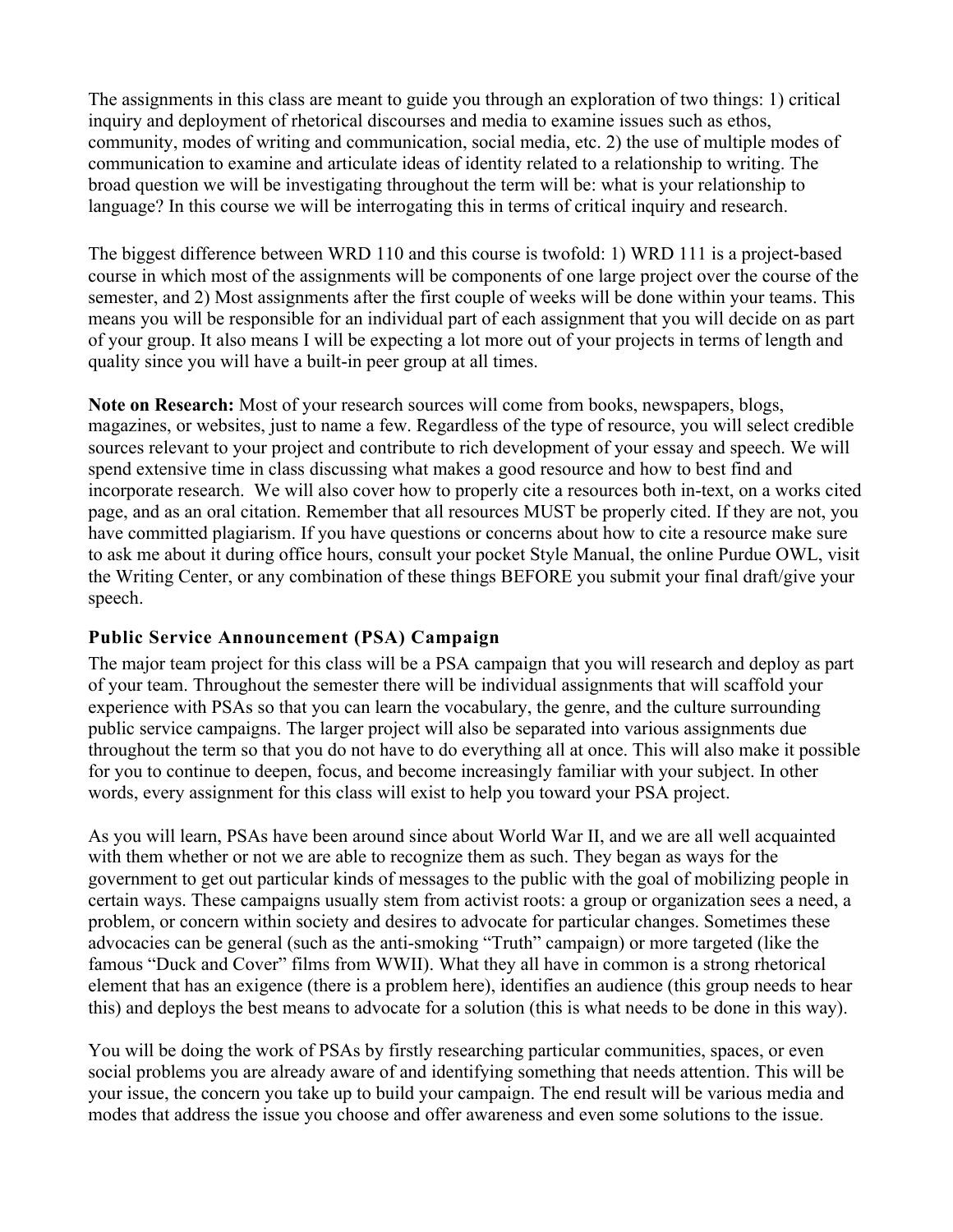The assignments in this class are meant to guide you through an exploration of two things: 1) critical inquiry and deployment of rhetorical discourses and media to examine issues such as ethos, community, modes of writing and communication, social media, etc. 2) the use of multiple modes of communication to examine and articulate ideas of identity related to a relationship to writing. The broad question we will be investigating throughout the term will be: what is your relationship to language? In this course we will be interrogating this in terms of critical inquiry and research.

The biggest difference between WRD 110 and this course is twofold: 1) WRD 111 is a project-based course in which most of the assignments will be components of one large project over the course of the semester, and 2) Most assignments after the first couple of weeks will be done within your teams. This means you will be responsible for an individual part of each assignment that you will decide on as part of your group. It also means I will be expecting a lot more out of your projects in terms of length and quality since you will have a built-in peer group at all times.

**Note on Research:** Most of your research sources will come from books, newspapers, blogs, magazines, or websites, just to name a few. Regardless of the type of resource, you will select credible sources relevant to your project and contribute to rich development of your essay and speech. We will spend extensive time in class discussing what makes a good resource and how to best find and incorporate research. We will also cover how to properly cite a resources both in-text, on a works cited page, and as an oral citation. Remember that all resources MUST be properly cited. If they are not, you have committed plagiarism. If you have questions or concerns about how to cite a resource make sure to ask me about it during office hours, consult your pocket Style Manual, the online Purdue OWL, visit the Writing Center, or any combination of these things BEFORE you submit your final draft/give your speech.

### **Public Service Announcement (PSA) Campaign**

The major team project for this class will be a PSA campaign that you will research and deploy as part of your team. Throughout the semester there will be individual assignments that will scaffold your experience with PSAs so that you can learn the vocabulary, the genre, and the culture surrounding public service campaigns. The larger project will also be separated into various assignments due throughout the term so that you do not have to do everything all at once. This will also make it possible for you to continue to deepen, focus, and become increasingly familiar with your subject. In other words, every assignment for this class will exist to help you toward your PSA project.

As you will learn, PSAs have been around since about World War II, and we are all well acquainted with them whether or not we are able to recognize them as such. They began as ways for the government to get out particular kinds of messages to the public with the goal of mobilizing people in certain ways. These campaigns usually stem from activist roots: a group or organization sees a need, a problem, or concern within society and desires to advocate for particular changes. Sometimes these advocacies can be general (such as the anti-smoking "Truth" campaign) or more targeted (like the famous "Duck and Cover" films from WWII). What they all have in common is a strong rhetorical element that has an exigence (there is a problem here), identifies an audience (this group needs to hear this) and deploys the best means to advocate for a solution (this is what needs to be done in this way).

You will be doing the work of PSAs by firstly researching particular communities, spaces, or even social problems you are already aware of and identifying something that needs attention. This will be your issue, the concern you take up to build your campaign. The end result will be various media and modes that address the issue you choose and offer awareness and even some solutions to the issue.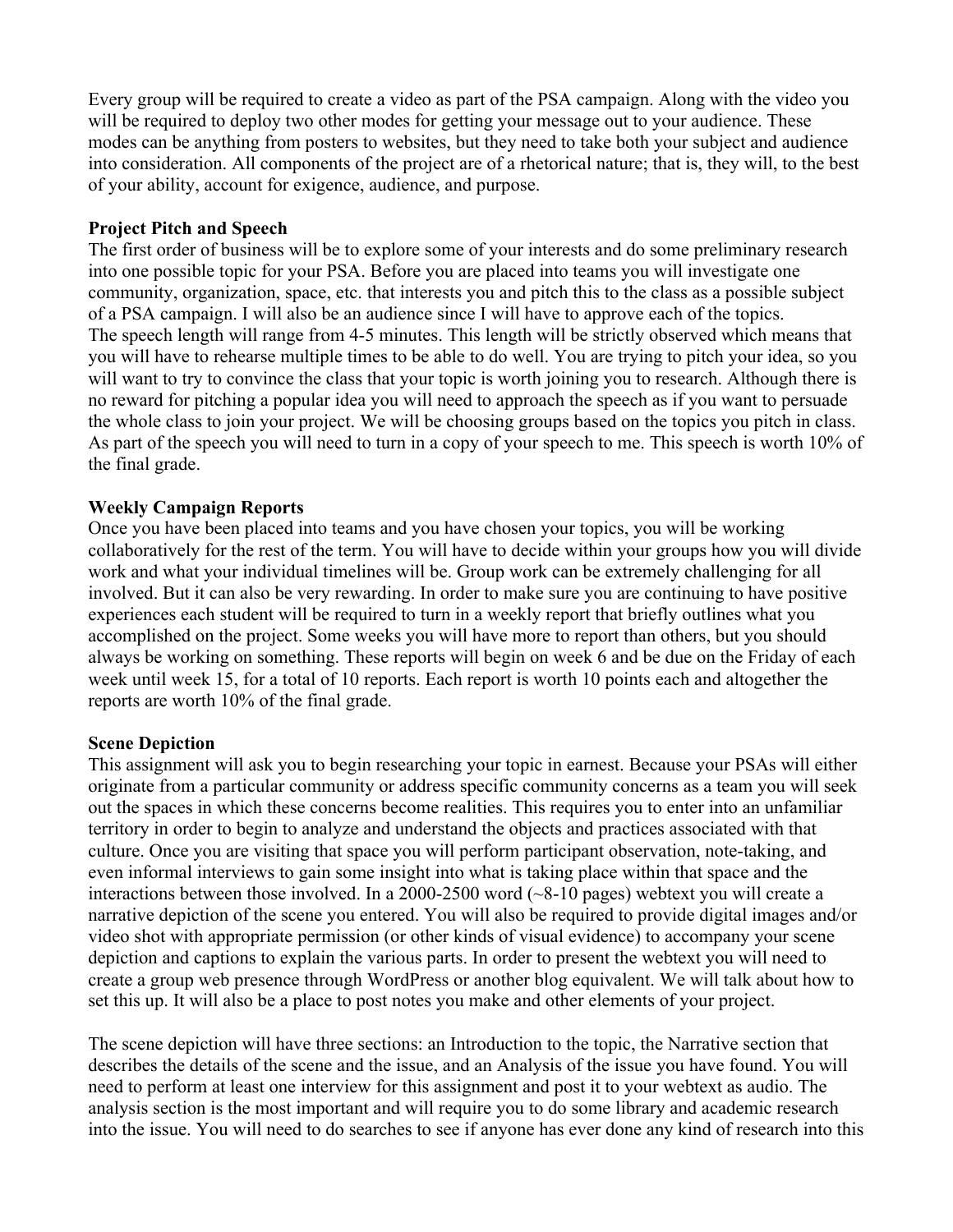Every group will be required to create a video as part of the PSA campaign. Along with the video you will be required to deploy two other modes for getting your message out to your audience. These modes can be anything from posters to websites, but they need to take both your subject and audience into consideration. All components of the project are of a rhetorical nature; that is, they will, to the best of your ability, account for exigence, audience, and purpose.

### **Project Pitch and Speech**

The first order of business will be to explore some of your interests and do some preliminary research into one possible topic for your PSA. Before you are placed into teams you will investigate one community, organization, space, etc. that interests you and pitch this to the class as a possible subject of a PSA campaign. I will also be an audience since I will have to approve each of the topics. The speech length will range from 4-5 minutes. This length will be strictly observed which means that you will have to rehearse multiple times to be able to do well. You are trying to pitch your idea, so you will want to try to convince the class that your topic is worth joining you to research. Although there is no reward for pitching a popular idea you will need to approach the speech as if you want to persuade the whole class to join your project. We will be choosing groups based on the topics you pitch in class. As part of the speech you will need to turn in a copy of your speech to me. This speech is worth 10% of the final grade.

### **Weekly Campaign Reports**

Once you have been placed into teams and you have chosen your topics, you will be working collaboratively for the rest of the term. You will have to decide within your groups how you will divide work and what your individual timelines will be. Group work can be extremely challenging for all involved. But it can also be very rewarding. In order to make sure you are continuing to have positive experiences each student will be required to turn in a weekly report that briefly outlines what you accomplished on the project. Some weeks you will have more to report than others, but you should always be working on something. These reports will begin on week 6 and be due on the Friday of each week until week 15, for a total of 10 reports. Each report is worth 10 points each and altogether the reports are worth 10% of the final grade.

### **Scene Depiction**

This assignment will ask you to begin researching your topic in earnest. Because your PSAs will either originate from a particular community or address specific community concerns as a team you will seek out the spaces in which these concerns become realities. This requires you to enter into an unfamiliar territory in order to begin to analyze and understand the objects and practices associated with that culture. Once you are visiting that space you will perform participant observation, note-taking, and even informal interviews to gain some insight into what is taking place within that space and the interactions between those involved. In a 2000-2500 word (~8-10 pages) webtext you will create a narrative depiction of the scene you entered. You will also be required to provide digital images and/or video shot with appropriate permission (or other kinds of visual evidence) to accompany your scene depiction and captions to explain the various parts. In order to present the webtext you will need to create a group web presence through WordPress or another blog equivalent. We will talk about how to set this up. It will also be a place to post notes you make and other elements of your project.

The scene depiction will have three sections: an Introduction to the topic, the Narrative section that describes the details of the scene and the issue, and an Analysis of the issue you have found. You will need to perform at least one interview for this assignment and post it to your webtext as audio. The analysis section is the most important and will require you to do some library and academic research into the issue. You will need to do searches to see if anyone has ever done any kind of research into this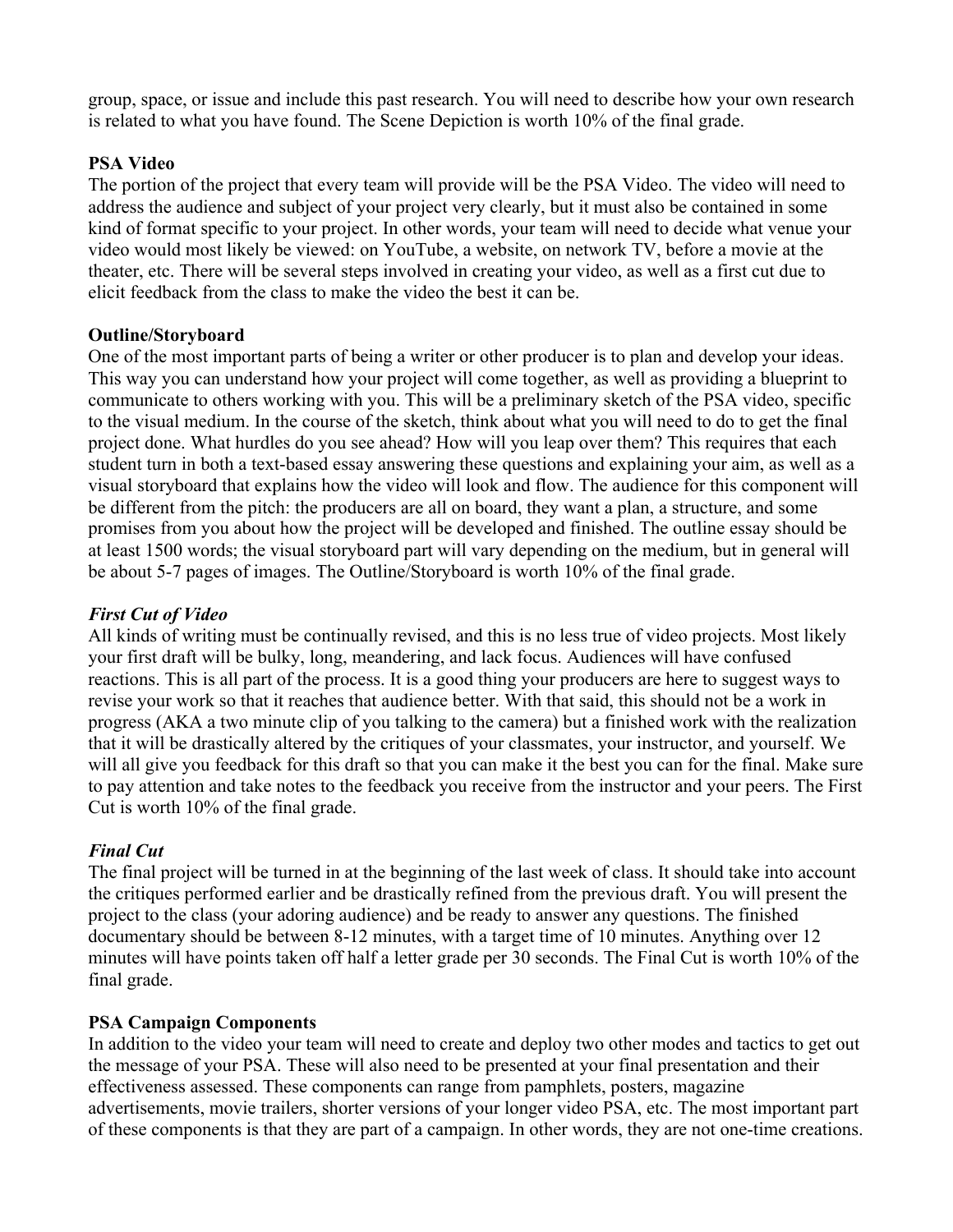group, space, or issue and include this past research. You will need to describe how your own research is related to what you have found. The Scene Depiction is worth 10% of the final grade.

### **PSA Video**

The portion of the project that every team will provide will be the PSA Video. The video will need to address the audience and subject of your project very clearly, but it must also be contained in some kind of format specific to your project. In other words, your team will need to decide what venue your video would most likely be viewed: on YouTube, a website, on network TV, before a movie at the theater, etc. There will be several steps involved in creating your video, as well as a first cut due to elicit feedback from the class to make the video the best it can be.

### **Outline/Storyboard**

One of the most important parts of being a writer or other producer is to plan and develop your ideas. This way you can understand how your project will come together, as well as providing a blueprint to communicate to others working with you. This will be a preliminary sketch of the PSA video, specific to the visual medium. In the course of the sketch, think about what you will need to do to get the final project done. What hurdles do you see ahead? How will you leap over them? This requires that each student turn in both a text-based essay answering these questions and explaining your aim, as well as a visual storyboard that explains how the video will look and flow. The audience for this component will be different from the pitch: the producers are all on board, they want a plan, a structure, and some promises from you about how the project will be developed and finished. The outline essay should be at least 1500 words; the visual storyboard part will vary depending on the medium, but in general will be about 5-7 pages of images. The Outline/Storyboard is worth 10% of the final grade.

### *First Cut of Video*

All kinds of writing must be continually revised, and this is no less true of video projects. Most likely your first draft will be bulky, long, meandering, and lack focus. Audiences will have confused reactions. This is all part of the process. It is a good thing your producers are here to suggest ways to revise your work so that it reaches that audience better. With that said, this should not be a work in progress (AKA a two minute clip of you talking to the camera) but a finished work with the realization that it will be drastically altered by the critiques of your classmates, your instructor, and yourself. We will all give you feedback for this draft so that you can make it the best you can for the final. Make sure to pay attention and take notes to the feedback you receive from the instructor and your peers. The First Cut is worth 10% of the final grade.

### *Final Cut*

The final project will be turned in at the beginning of the last week of class. It should take into account the critiques performed earlier and be drastically refined from the previous draft. You will present the project to the class (your adoring audience) and be ready to answer any questions. The finished documentary should be between 8-12 minutes, with a target time of 10 minutes. Anything over 12 minutes will have points taken off half a letter grade per 30 seconds. The Final Cut is worth 10% of the final grade.

#### **PSA Campaign Components**

In addition to the video your team will need to create and deploy two other modes and tactics to get out the message of your PSA. These will also need to be presented at your final presentation and their effectiveness assessed. These components can range from pamphlets, posters, magazine advertisements, movie trailers, shorter versions of your longer video PSA, etc. The most important part of these components is that they are part of a campaign. In other words, they are not one-time creations.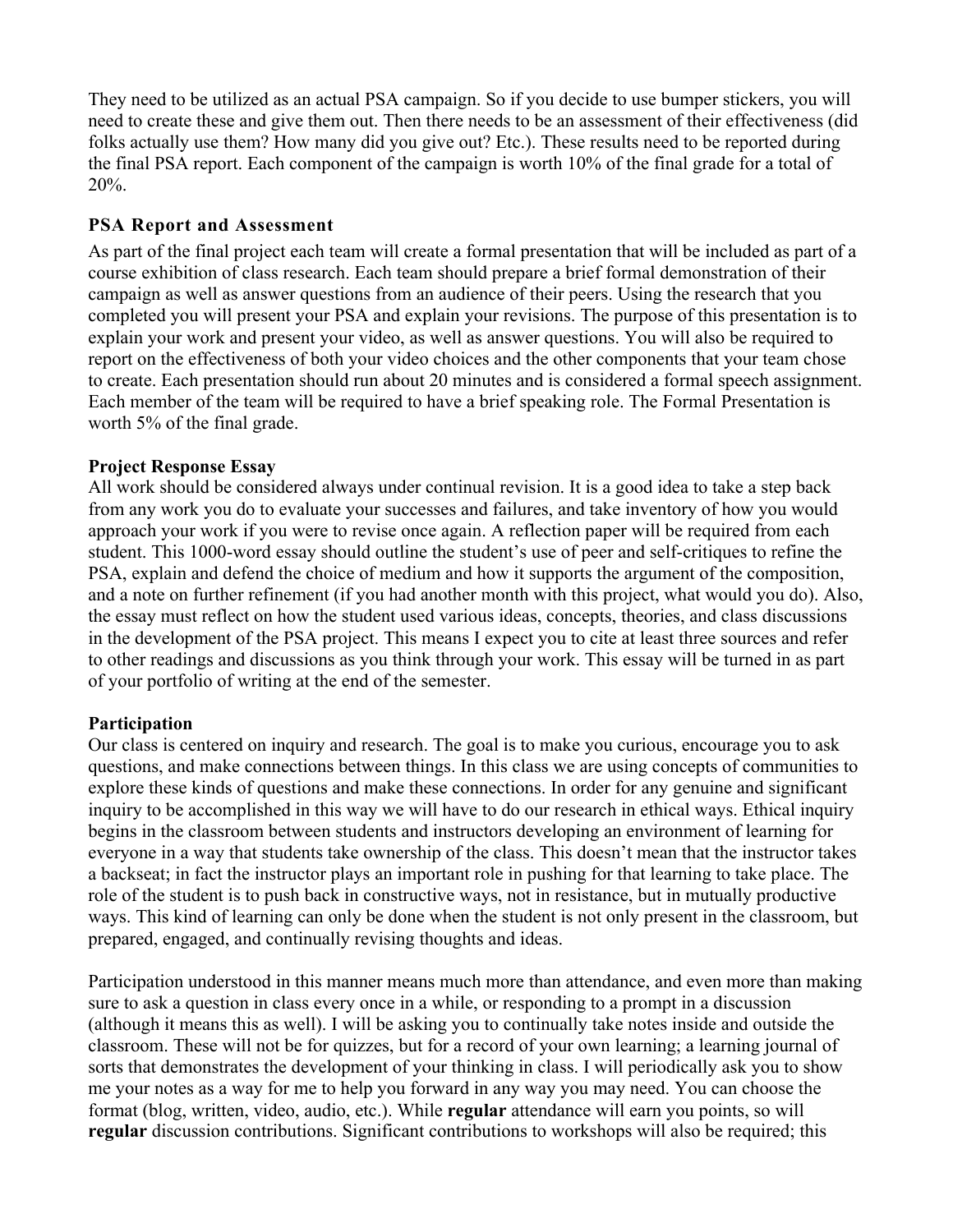They need to be utilized as an actual PSA campaign. So if you decide to use bumper stickers, you will need to create these and give them out. Then there needs to be an assessment of their effectiveness (did folks actually use them? How many did you give out? Etc.). These results need to be reported during the final PSA report. Each component of the campaign is worth 10% of the final grade for a total of 20%.

### **PSA Report and Assessment**

As part of the final project each team will create a formal presentation that will be included as part of a course exhibition of class research. Each team should prepare a brief formal demonstration of their campaign as well as answer questions from an audience of their peers. Using the research that you completed you will present your PSA and explain your revisions. The purpose of this presentation is to explain your work and present your video, as well as answer questions. You will also be required to report on the effectiveness of both your video choices and the other components that your team chose to create. Each presentation should run about 20 minutes and is considered a formal speech assignment. Each member of the team will be required to have a brief speaking role. The Formal Presentation is worth 5% of the final grade.

## **Project Response Essay**

All work should be considered always under continual revision. It is a good idea to take a step back from any work you do to evaluate your successes and failures, and take inventory of how you would approach your work if you were to revise once again. A reflection paper will be required from each student. This 1000-word essay should outline the student's use of peer and self-critiques to refine the PSA, explain and defend the choice of medium and how it supports the argument of the composition, and a note on further refinement (if you had another month with this project, what would you do). Also, the essay must reflect on how the student used various ideas, concepts, theories, and class discussions in the development of the PSA project. This means I expect you to cite at least three sources and refer to other readings and discussions as you think through your work. This essay will be turned in as part of your portfolio of writing at the end of the semester.

### **Participation**

Our class is centered on inquiry and research. The goal is to make you curious, encourage you to ask questions, and make connections between things. In this class we are using concepts of communities to explore these kinds of questions and make these connections. In order for any genuine and significant inquiry to be accomplished in this way we will have to do our research in ethical ways. Ethical inquiry begins in the classroom between students and instructors developing an environment of learning for everyone in a way that students take ownership of the class. This doesn't mean that the instructor takes a backseat; in fact the instructor plays an important role in pushing for that learning to take place. The role of the student is to push back in constructive ways, not in resistance, but in mutually productive ways. This kind of learning can only be done when the student is not only present in the classroom, but prepared, engaged, and continually revising thoughts and ideas.

Participation understood in this manner means much more than attendance, and even more than making sure to ask a question in class every once in a while, or responding to a prompt in a discussion (although it means this as well). I will be asking you to continually take notes inside and outside the classroom. These will not be for quizzes, but for a record of your own learning; a learning journal of sorts that demonstrates the development of your thinking in class. I will periodically ask you to show me your notes as a way for me to help you forward in any way you may need. You can choose the format (blog, written, video, audio, etc.). While **regular** attendance will earn you points, so will **regular** discussion contributions. Significant contributions to workshops will also be required; this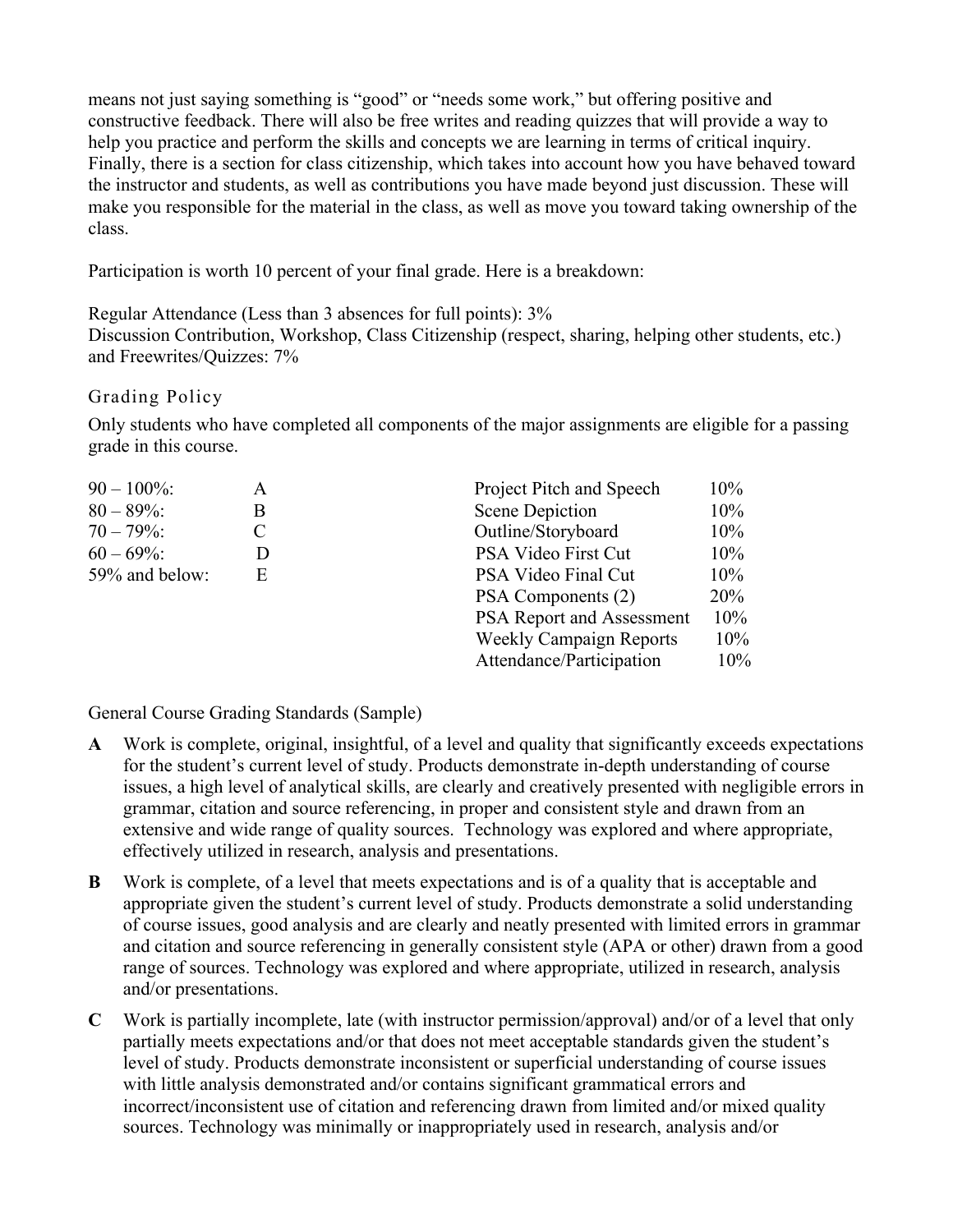means not just saying something is "good" or "needs some work," but offering positive and constructive feedback. There will also be free writes and reading quizzes that will provide a way to help you practice and perform the skills and concepts we are learning in terms of critical inquiry. Finally, there is a section for class citizenship, which takes into account how you have behaved toward the instructor and students, as well as contributions you have made beyond just discussion. These will make you responsible for the material in the class, as well as move you toward taking ownership of the class.

Participation is worth 10 percent of your final grade. Here is a breakdown:

Regular Attendance (Less than 3 absences for full points): 3% Discussion Contribution, Workshop, Class Citizenship (respect, sharing, helping other students, etc.) and Freewrites/Quizzes: 7%

# Grading Policy

Only students who have completed all components of the major assignments are eligible for a passing grade in this course.

| $90 - 100\%$   | A | Project Pitch and Speech       | 10%    |
|----------------|---|--------------------------------|--------|
| $80 - 89\%$    | B | Scene Depiction                | 10%    |
| $70 - 79\%$    |   | Outline/Storyboard             | 10%    |
| $60 - 69\%$    |   | PSA Video First Cut            | 10%    |
| 59% and below: | E | PSA Video Final Cut            | 10%    |
|                |   | PSA Components (2)             | 20%    |
|                |   | PSA Report and Assessment      | 10%    |
|                |   | <b>Weekly Campaign Reports</b> | $10\%$ |
|                |   | Attendance/Participation       | 10%    |

General Course Grading Standards (Sample)

- **A** Work is complete, original, insightful, of a level and quality that significantly exceeds expectations for the student's current level of study. Products demonstrate in-depth understanding of course issues, a high level of analytical skills, are clearly and creatively presented with negligible errors in grammar, citation and source referencing, in proper and consistent style and drawn from an extensive and wide range of quality sources. Technology was explored and where appropriate, effectively utilized in research, analysis and presentations.
- **B** Work is complete, of a level that meets expectations and is of a quality that is acceptable and appropriate given the student's current level of study. Products demonstrate a solid understanding of course issues, good analysis and are clearly and neatly presented with limited errors in grammar and citation and source referencing in generally consistent style (APA or other) drawn from a good range of sources. Technology was explored and where appropriate, utilized in research, analysis and/or presentations.
- **C** Work is partially incomplete, late (with instructor permission/approval) and/or of a level that only partially meets expectations and/or that does not meet acceptable standards given the student's level of study. Products demonstrate inconsistent or superficial understanding of course issues with little analysis demonstrated and/or contains significant grammatical errors and incorrect/inconsistent use of citation and referencing drawn from limited and/or mixed quality sources. Technology was minimally or inappropriately used in research, analysis and/or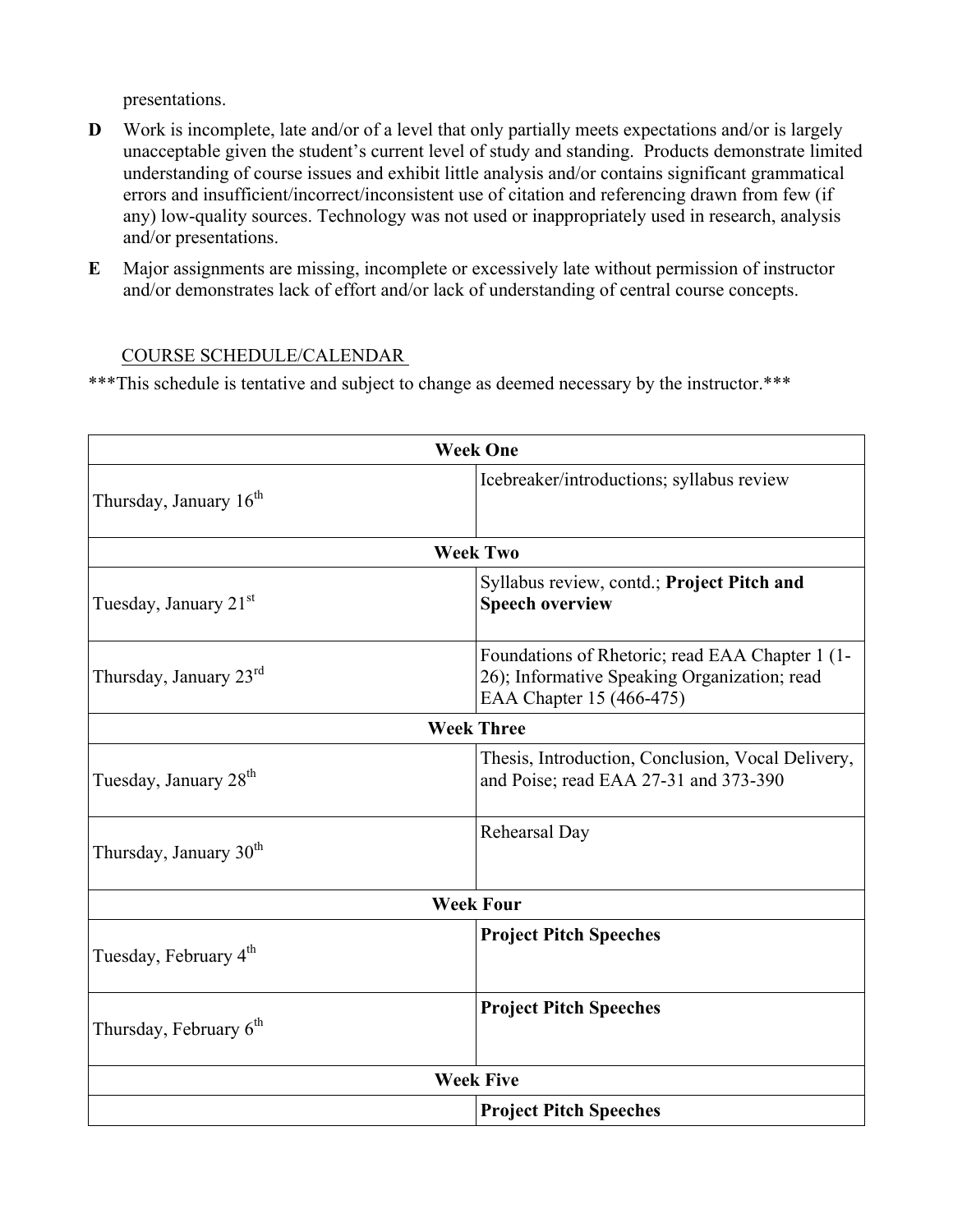presentations.

- **D** Work is incomplete, late and/or of a level that only partially meets expectations and/or is largely unacceptable given the student's current level of study and standing. Products demonstrate limited understanding of course issues and exhibit little analysis and/or contains significant grammatical errors and insufficient/incorrect/inconsistent use of citation and referencing drawn from few (if any) low-quality sources. Technology was not used or inappropriately used in research, analysis and/or presentations.
- **E** Major assignments are missing, incomplete or excessively late without permission of instructor and/or demonstrates lack of effort and/or lack of understanding of central course concepts.

## COURSE SCHEDULE/CALENDAR

\*\*\*This schedule is tentative and subject to change as deemed necessary by the instructor.\*\*\*

| <b>Week One</b>                    |                                                                                                                             |  |  |  |
|------------------------------------|-----------------------------------------------------------------------------------------------------------------------------|--|--|--|
| Thursday, January 16 <sup>th</sup> | Icebreaker/introductions; syllabus review                                                                                   |  |  |  |
| <b>Week Two</b>                    |                                                                                                                             |  |  |  |
| Tuesday, January 21 <sup>st</sup>  | Syllabus review, contd.; Project Pitch and<br><b>Speech overview</b>                                                        |  |  |  |
| Thursday, January 23rd             | Foundations of Rhetoric; read EAA Chapter 1 (1-<br>26); Informative Speaking Organization; read<br>EAA Chapter 15 (466-475) |  |  |  |
|                                    | <b>Week Three</b>                                                                                                           |  |  |  |
| Tuesday, January 28 <sup>th</sup>  | Thesis, Introduction, Conclusion, Vocal Delivery,<br>and Poise; read EAA 27-31 and 373-390                                  |  |  |  |
| Thursday, January 30 <sup>th</sup> | Rehearsal Day                                                                                                               |  |  |  |
|                                    | <b>Week Four</b>                                                                                                            |  |  |  |
| Tuesday, February 4 <sup>th</sup>  | <b>Project Pitch Speeches</b>                                                                                               |  |  |  |
| Thursday, February $6th$           | <b>Project Pitch Speeches</b>                                                                                               |  |  |  |
| <b>Week Five</b>                   |                                                                                                                             |  |  |  |
|                                    | <b>Project Pitch Speeches</b>                                                                                               |  |  |  |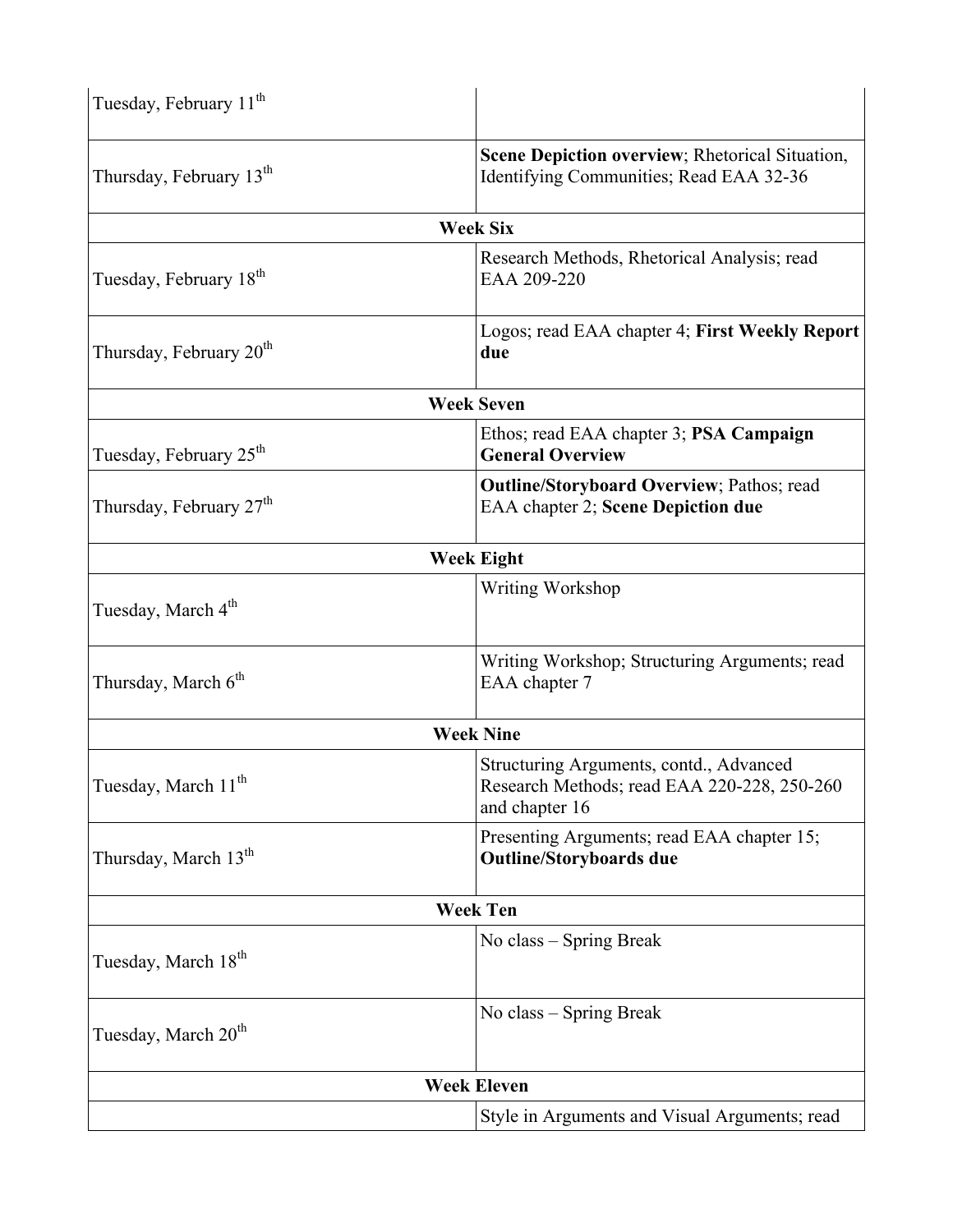| Tuesday, February 11 <sup>th</sup>  |                                                                                                          |  |  |  |  |
|-------------------------------------|----------------------------------------------------------------------------------------------------------|--|--|--|--|
| Thursday, February 13 <sup>th</sup> | Scene Depiction overview; Rhetorical Situation,<br>Identifying Communities; Read EAA 32-36               |  |  |  |  |
| <b>Week Six</b>                     |                                                                                                          |  |  |  |  |
| Tuesday, February 18 <sup>th</sup>  | Research Methods, Rhetorical Analysis; read<br>EAA 209-220                                               |  |  |  |  |
| Thursday, February 20 <sup>th</sup> | Logos; read EAA chapter 4; First Weekly Report<br>due                                                    |  |  |  |  |
|                                     | <b>Week Seven</b>                                                                                        |  |  |  |  |
| Tuesday, February 25 <sup>th</sup>  | Ethos; read EAA chapter 3; PSA Campaign<br><b>General Overview</b>                                       |  |  |  |  |
| Thursday, February 27 <sup>th</sup> | <b>Outline/Storyboard Overview</b> ; Pathos; read<br><b>EAA</b> chapter 2; Scene Depiction due           |  |  |  |  |
|                                     | <b>Week Eight</b>                                                                                        |  |  |  |  |
| Tuesday, March 4 <sup>th</sup>      | Writing Workshop                                                                                         |  |  |  |  |
| Thursday, March 6 <sup>th</sup>     | Writing Workshop; Structuring Arguments; read<br>EAA chapter 7                                           |  |  |  |  |
|                                     | <b>Week Nine</b>                                                                                         |  |  |  |  |
| Tuesday, March 11 <sup>th</sup>     | Structuring Arguments, contd., Advanced<br>Research Methods; read EAA 220-228, 250-260<br>and chapter 16 |  |  |  |  |
| Thursday, March 13 <sup>th</sup>    | Presenting Arguments; read EAA chapter 15;<br><b>Outline/Storyboards due</b>                             |  |  |  |  |
|                                     | <b>Week Ten</b>                                                                                          |  |  |  |  |
| Tuesday, March 18 <sup>th</sup>     | No class – Spring Break                                                                                  |  |  |  |  |
| Tuesday, March 20 <sup>th</sup>     | No class – Spring Break                                                                                  |  |  |  |  |
| <b>Week Eleven</b>                  |                                                                                                          |  |  |  |  |
|                                     | Style in Arguments and Visual Arguments; read                                                            |  |  |  |  |